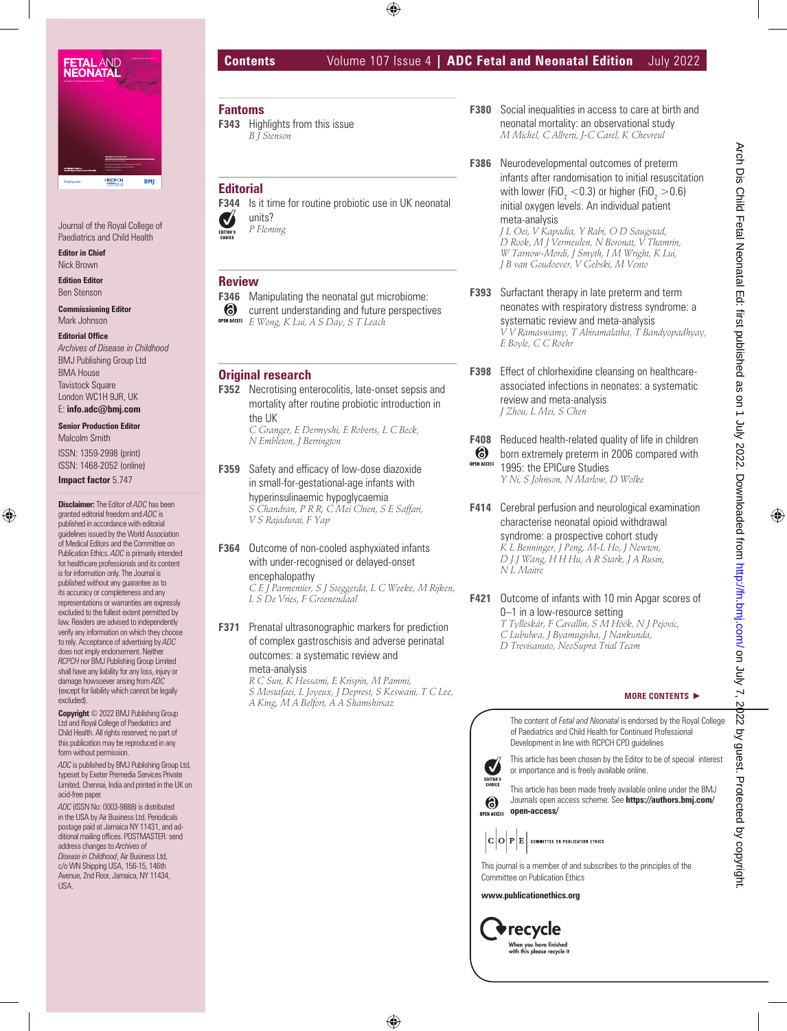

Journal of the Royal College of Paediatrics and Child Health

**Editor in Chief** Nick Brown

**Edition Editor** Ben Stenson

**Commissioning Editor** Mark Johnson

#### **Editorial Office**

*Archives of Disease in Childhood* BMJ Publishing Group Ltd BMA House Tavistock Square London WC1H 9JR, UK E: **info.adc@bmj.com**

# **Senior Production Editor**

Malcolm Smith ISSN: 1359-2998 (print) ISSN: 1468-2052 (online)

**Impact factor** 5.747

**Disclaimer:** The Editor of *ADC* has been granted editorial freedom and *ADC* is published in accordance with editorial guidelines issued by the World Association of Medical Editors and the Committee on Publication Ethics. *ADC* is primarily intended for healthcare professionals and its content is for information only. The Journal is published without any guarantee as to its accuracy or completeness and any representations or warranties are expressly excluded to the fullest extent permitted by law. Readers are advised to independently verify any information on which they choose to rely. Acceptance of advertising by *ADC* does not imply endorsement. Neither *RCPCH* nor BMJ Publishing Group Limited shall have any liability for any loss, injury or damage howsoever arising from *ADC* (except for liability which cannot be legally excluded).

**Copyright** © 2022 BMJ Publishing Group Ltd and Royal College of Paediatrics and Child Health. All rights reserved; no part of this publication may be reproduced in any form without permission.

*ADC* is published by BMJ Publishing Group Ltd, typeset by Exeter Premedia Services Private Limited, Chennai, India and printed in the UK on acid-free paper.

*ADC* (ISSN No: 0003-9888) is distributed in the USA by Air Business Ltd. Periodicals postage paid at Jamaica NY 11431, and additional mailing offices. POSTMASTER: send address changes to *Archives of Disease in Childhood*, Air Business Ltd, c/o WN Shipping USA, 156-15, 146th Avenue, 2nd Floor, Jamaica, NY 11434, USA.

# **Contents** Volume 107 Issue 4 **| ADC Fetal and Neonatal Edition** July 2022

**Fantoms**

**F343** Highlights from this issue *B J Stenson*

# **Editorial**

**F344** Is it time for routine probiotic use in UK neonatal units?  $\overline{\mathcal{M}}$ 

*P Fleming*

# **Review**

- **F346** Manipulating the neonatal gut microbiome:
- $\odot$ current understanding and future perspectives

# **Original research**

**F352** Necrotising enterocolitis, late-onset sepsis and mortality after routine probiotic introduction in the UK *C Granger, E Dermyshi, E Roberts, L C Beck, N Embleton, J Berrington*

**F359** Safety and efficacy of low-dose diazoxide in small-for-gestational-age infants with hyperinsulinaemic hypoglycaemia *S Chandran, P R R, C Mei Chien, S E Saffari, V S Rajadurai, F Yap*

**F364** Outcome of non-cooled asphyxiated infants with under-recognised or delayed-onset encephalopathy

*C E J Parmentier, S J Steggerda, L C Weeke, M Rijken, L S De Vries, F Groenendaal*

**F371** Prenatal ultrasonographic markers for prediction of complex gastroschisis and adverse perinatal outcomes: a systematic review and meta-analysis *R C Sun, K Hessami, E Krispin, M Pammi, S Mostafaei, L Joyeux, J Deprest, S Keswani, T C Lee, A King, M A Belfort, A A Shamshirsaz*

- **F380** Social inequalities in access to care at birth and neonatal mortality: an observational study *M Michel, C Alberti, J-C Carel, K Chevreul*
- **F386** Neurodevelopmental outcomes of preterm infants after randomisation to initial resuscitation with lower (FiO<sub>2</sub>  $<$  0.3) or higher (FiO<sub>2</sub>  $>$  0.6) initial oxygen levels. An individual patient meta-analysis *J L Oei, V Kapadia, Y Rabi, O D Saugstad, D Rook, M J Vermeulen, N Boronat, V Thamrin, W Tarnow-Mordi, J Smyth, I M Wright, K Lui,*
- **F393** Surfactant therapy in late preterm and term neonates with respiratory distress syndrome: a systematic review and meta-analysis *V V Ramaswamy, T Abiramalatha, T Bandyopadhyay, E Boyle, C C Roehr*

*J B van Goudoever, V Gebski, M Vento*

- **F398** Effect of chlorhexidine cleansing on healthcareassociated infections in neonates: a systematic review and meta-analysis *J Zhou, L Mei, S Chen*
- **F408** Reduced health-related quality of life in children (a) born extremely preterm in 2006 compared with **OPEN ACCESS** 1995: the EPICure Studies

*Y Ni, S Johnson, N Marlow, D Wolke*

- **F414** Cerebral perfusion and neurological examination characterise neonatal opioid withdrawal syndrome: a prospective cohort study *K L Benninger, J Peng, M-L Ho, J Newton, D J J Wang, H H Hu, A R Stark, J A Rusin, N L Maitre*
- **F421** Outcome of infants with 10 min Apgar scores of 0–1 in a low-resource setting *T Tylleskär, F Cavallin, S M Höök, N J Pejovic, C Lubulwa, J Byamugisha, J Nankunda, D Trevisanuto, NeoSupra Trial Team*

#### **MORE CONTENTS**

The content of *Fetal and Neonatal* is endorsed by the Royal College of Paediatrics and Child Health for Continued Professional Development in line with RCPCH CPD guidelines



(6)

This article has been chosen by the Editor to be of special interest or importance and is freely available online.

This article has been made freely available online under the BMJ Journals open access scheme. See **https://authors.bmj.com/ open-access/** 



This journal is a member of and subscribes to the principles of the Committee on Publication Ethics

**www.publicationethics.org**



- 
- *E Wong, K Lui, A S Day, S T Leach*